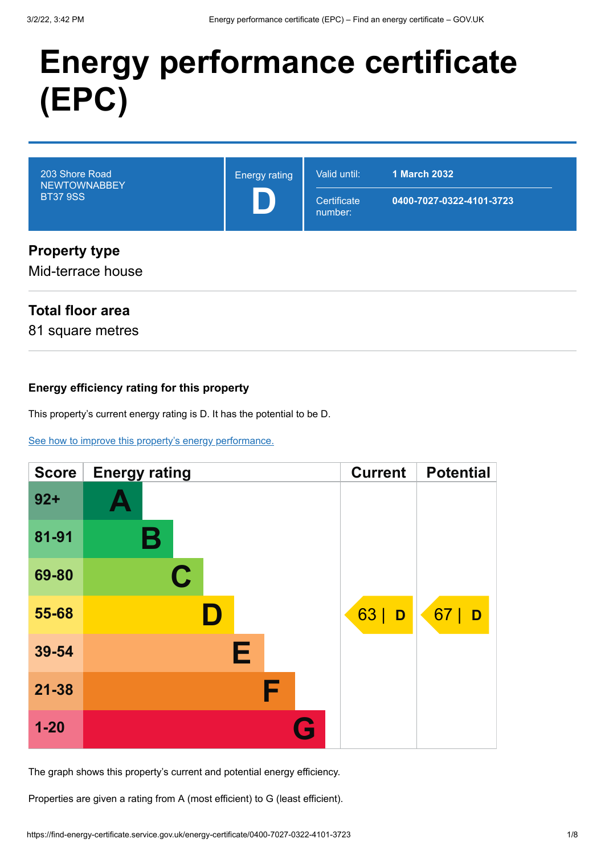# **Energy performance certificate (EPC)**

| 203 Shore Road<br><b>NEWTOWNABBEY</b><br><b>BT37 9SS</b> | <b>Energy rating</b> | Valid until:<br>Certificate<br>number: | <b>1 March 2032</b><br>0400-7027-0322-4101-3723 |
|----------------------------------------------------------|----------------------|----------------------------------------|-------------------------------------------------|
| <b>Property type</b><br>Mid-terrace house                |                      |                                        |                                                 |

### **Total floor area**

81 square metres

#### **Energy efficiency rating for this property**

This property's current energy rating is D. It has the potential to be D.

[See how to improve this property's energy performance.](#page-3-0)

| <b>Score</b> | <b>Energy rating</b> | <b>Current</b> | <b>Potential</b> |
|--------------|----------------------|----------------|------------------|
| $92 +$       |                      |                |                  |
| 81-91        | В                    |                |                  |
| 69-80        | C                    |                |                  |
| 55-68        |                      | 63<br>D        | 67  <br>D        |
| 39-54        | Е                    |                |                  |
| $21 - 38$    | F                    |                |                  |
| $1 - 20$     |                      |                |                  |

The graph shows this property's current and potential energy efficiency.

Properties are given a rating from A (most efficient) to G (least efficient).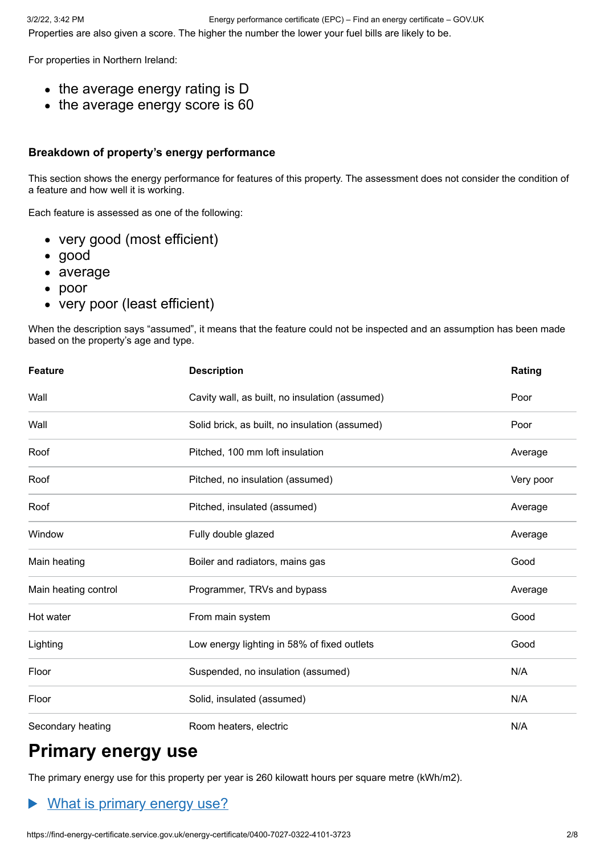For properties in Northern Ireland:

- $\bullet$  the average energy rating is D
- the average energy score is 60

#### **Breakdown of property's energy performance**

This section shows the energy performance for features of this property. The assessment does not consider the condition of a feature and how well it is working.

Each feature is assessed as one of the following:

- very good (most efficient)
- good
- average
- poor
- very poor (least efficient)

When the description says "assumed", it means that the feature could not be inspected and an assumption has been made based on the property's age and type.

| <b>Feature</b>       | <b>Description</b>                             |           |
|----------------------|------------------------------------------------|-----------|
| Wall                 | Cavity wall, as built, no insulation (assumed) | Poor      |
| Wall                 | Solid brick, as built, no insulation (assumed) | Poor      |
| Roof                 | Pitched, 100 mm loft insulation                | Average   |
| Roof                 | Pitched, no insulation (assumed)               | Very poor |
| Roof                 | Pitched, insulated (assumed)                   | Average   |
| Window               | Fully double glazed                            | Average   |
| Main heating         | Boiler and radiators, mains gas                | Good      |
| Main heating control | Programmer, TRVs and bypass                    | Average   |
| Hot water            | From main system                               | Good      |
| Lighting             | Low energy lighting in 58% of fixed outlets    | Good      |
| Floor                | Suspended, no insulation (assumed)             | N/A       |
| Floor                | Solid, insulated (assumed)                     | N/A       |
| Secondary heating    | Room heaters, electric                         | N/A       |

# **Primary energy use**

The primary energy use for this property per year is 260 kilowatt hours per square metre (kWh/m2).

#### What is primary energy use?  $\blacktriangleright$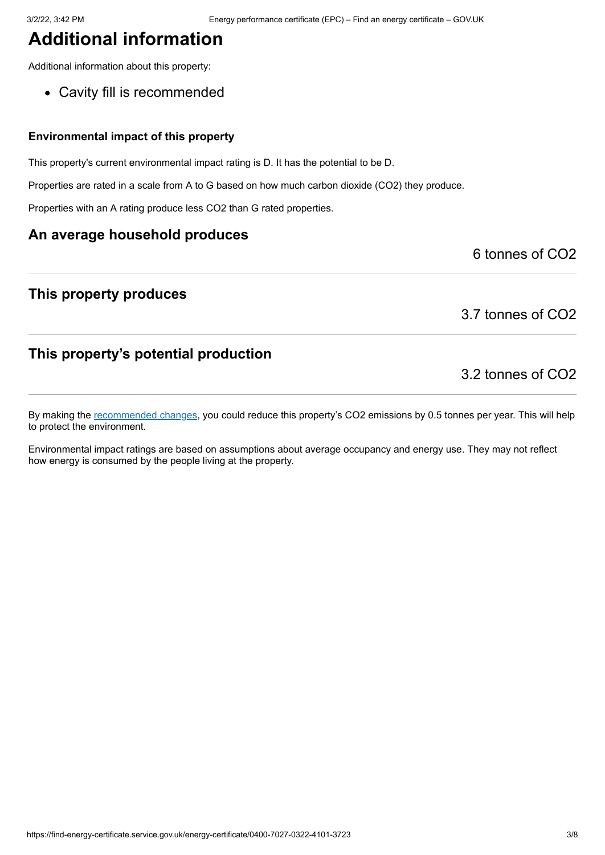## **Additional information**

Additional information about this property:

Cavity fill is recommended

#### **Environmental impact of this property**

This property's current environmental impact rating is D. It has the potential to be D.

Properties are rated in a scale from A to G based on how much carbon dioxide (CO2) they produce.

Properties with an A rating produce less CO2 than G rated properties.

#### **An average household produces**

#### **This property produces**

3.7 tonnes of CO2

6 tonnes of CO2

#### **This property's potential production**

3.2 tonnes of CO2

By making the [recommended changes](#page-3-0), you could reduce this property's CO2 emissions by 0.5 tonnes per year. This will help to protect the environment.

Environmental impact ratings are based on assumptions about average occupancy and energy use. They may not reflect how energy is consumed by the people living at the property.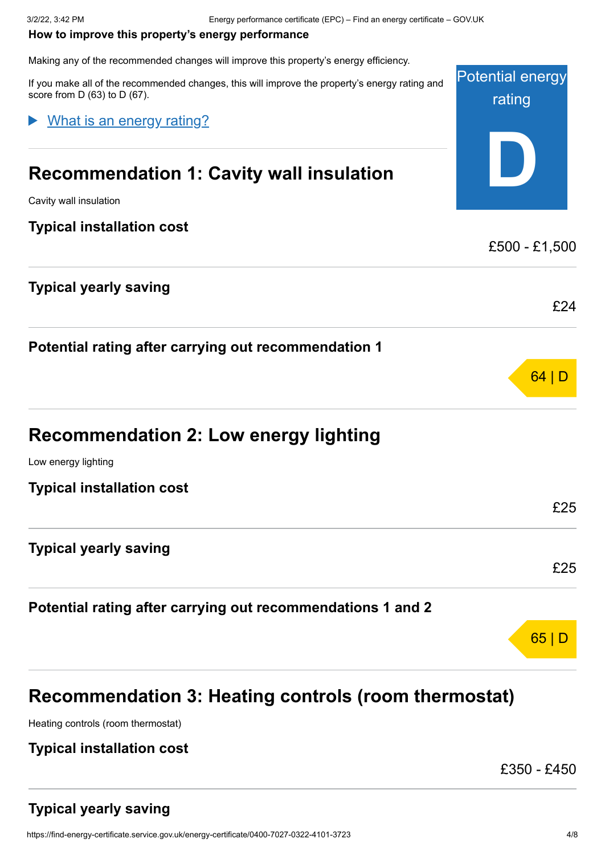#### <span id="page-3-0"></span>**How to improve this property's energy performance**

Making any of the recommended changes will improve this property's energy efficiency.

Potential energy rating **D** If you make all of the recommended changes, this will improve the property's energy rating and score from D (63) to D (67). **Recommendation 1: Cavity wall insulation** Cavity wall insulation **Typical installation cost** £500 - £1,500 **Typical yearly saving** £24 **Potential rating after carrying out recommendation 1** 64 | D **Recommendation 2: Low energy lighting** Low energy lighting **Typical installation cost** £25 **Typical yearly saving** £25 **Potential rating after carrying out recommendations 1 and 2** 65 | D What is an energy rating?

# **Recommendation 3: Heating controls (room thermostat)**

Heating controls (room thermostat)

#### **Typical installation cost**

£350 - £450

### **Typical yearly saving**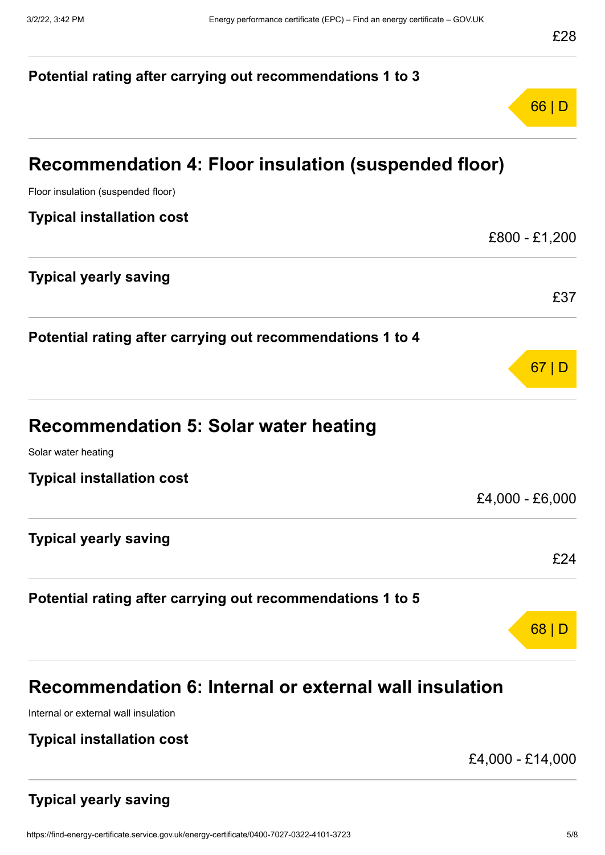# **Potential rating after carrying out recommendations 1 to 3** 66 | D **Recommendation 4: Floor insulation (suspended floor)** Floor insulation (suspended floor) **Typical installation cost** £800 - £1,200 **Typical yearly saving** £37 **Potential rating after carrying out recommendations 1 to 4** 67 | D **Recommendation 5: Solar water heating** Solar water heating **Typical installation cost** £4,000 - £6,000 **Typical yearly saving** £24 **Potential rating after carrying out recommendations 1 to 5** 68 | D **Recommendation 6: Internal or external wall insulation**

Internal or external wall insulation

#### **Typical installation cost**

£4,000 - £14,000

### **Typical yearly saving**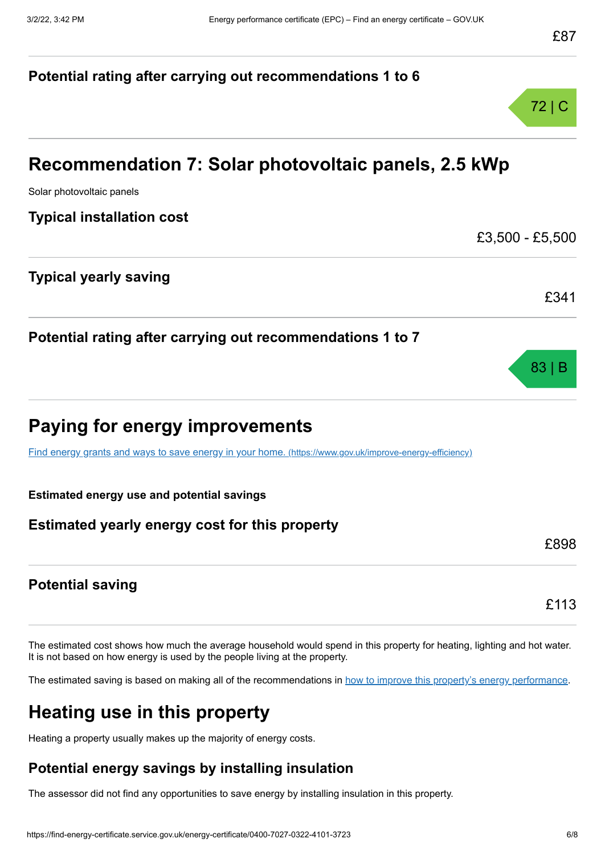# **Potential rating after carrying out recommendations 1 to 6** 72 | C **Recommendation 7: Solar photovoltaic panels, 2.5 kWp** Solar photovoltaic panels **Typical installation cost** £3,500 - £5,500 **Typical yearly saving** £341 **Potential rating after carrying out recommendations 1 to 7** 83 | B **Paying for energy improvements** [Find energy grants and ways to save energy in your home.](https://www.gov.uk/improve-energy-efficiency) (https://www.gov.uk/improve-energy-efficiency) **Estimated energy use and potential savings Estimated yearly energy cost for this property** £898 **Potential saving** £113

The estimated cost shows how much the average household would spend in this property for heating, lighting and hot water. It is not based on how energy is used by the people living at the property.

The estimated saving is based on making all of the recommendations in [how to improve this property's energy performance.](#page-3-0)

# **Heating use in this property**

Heating a property usually makes up the majority of energy costs.

### **Potential energy savings by installing insulation**

The assessor did not find any opportunities to save energy by installing insulation in this property.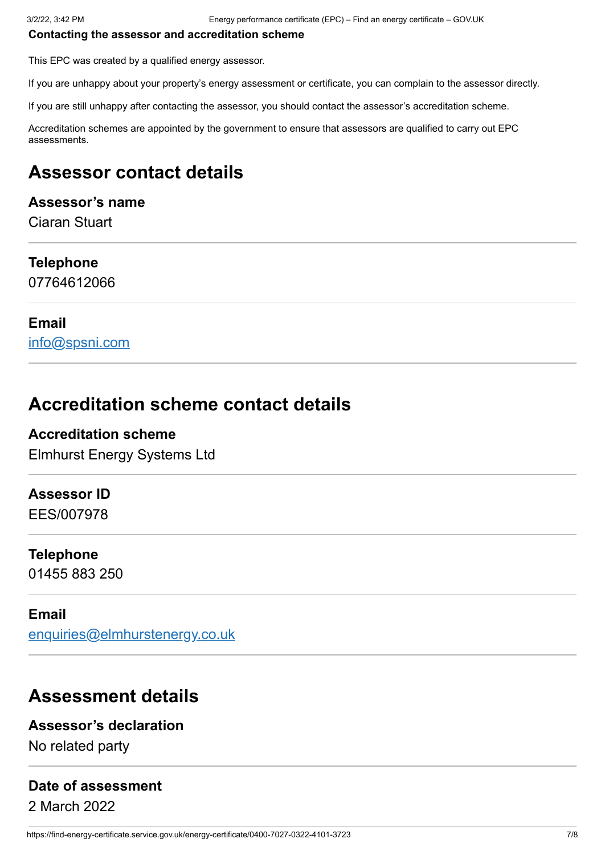#### **Contacting the assessor and accreditation scheme**

This EPC was created by a qualified energy assessor.

If you are unhappy about your property's energy assessment or certificate, you can complain to the assessor directly.

If you are still unhappy after contacting the assessor, you should contact the assessor's accreditation scheme.

Accreditation schemes are appointed by the government to ensure that assessors are qualified to carry out EPC assessments.

## **Assessor contact details**

#### **Assessor's name**

Ciaran Stuart

#### **Telephone**

07764612066

#### **Email**

[info@spsni.com](mailto:info@spsni.com)

## **Accreditation scheme contact details**

#### **Accreditation scheme**

Elmhurst Energy Systems Ltd

#### **Assessor ID**

EES/007978

#### **Telephone**

01455 883 250

#### **Email**

[enquiries@elmhurstenergy.co.uk](mailto:enquiries@elmhurstenergy.co.uk)

## **Assessment details**

#### **Assessor's declaration**

No related party

#### **Date of assessment**

2 March 2022